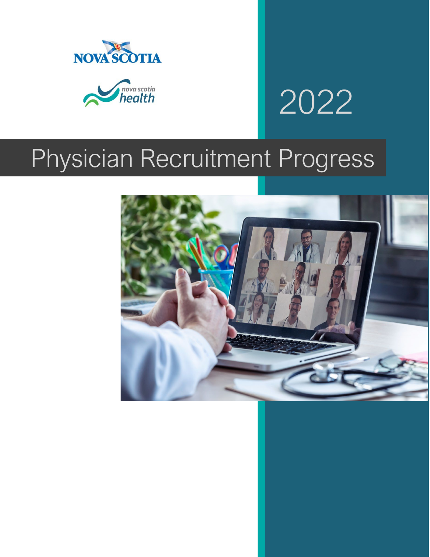



# 2022

# Physician Recruitment Progress

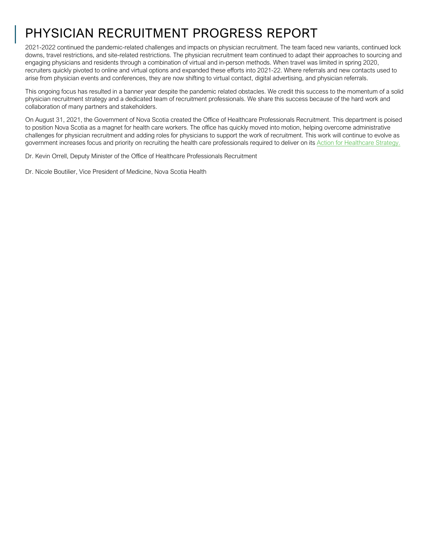# PHYSICIAN RECRUITMENT PROGRESS REPORT

2021-2022 continued the pandemic-related challenges and impacts on physician recruitment. The team faced new variants, continued lock downs, travel restrictions, and site-related restrictions. The physician recruitment team continued to adapt their approaches to sourcing and engaging physicians and residents through a combination of virtual and in-person methods. When travel was limited in spring 2020, recruiters quickly pivoted to online and virtual options and expanded these efforts into 2021-22. Where referrals and new contacts used to arise from physician events and conferences, they are now shifting to virtual contact, digital advertising, and physician referrals.

This ongoing focus has resulted in a banner year despite the pandemic related obstacles. We credit this success to the momentum of a solid physician recruitment strategy and a dedicated team of recruitment professionals. We share this success because of the hard work and collaboration of many partners and stakeholders.

On August 31, 2021, the Government of Nova Scotia created the Office of Healthcare Professionals Recruitment. This department is poised to position Nova Scotia as a magnet for health care workers. The office has quickly moved into motion, helping overcome administrative challenges for physician recruitment and adding roles for physicians to support the work of recruitment. This work will continue to evolve as government increases focus and priority on recruiting the health care professionals required to deliver on its Action for Healthcare Strategy.

Dr. Kevin Orrell, Deputy Minister of the Office of Healthcare Professionals Recruitment

Dr. Nicole Boutilier, Vice President of Medicine, Nova Scotia Health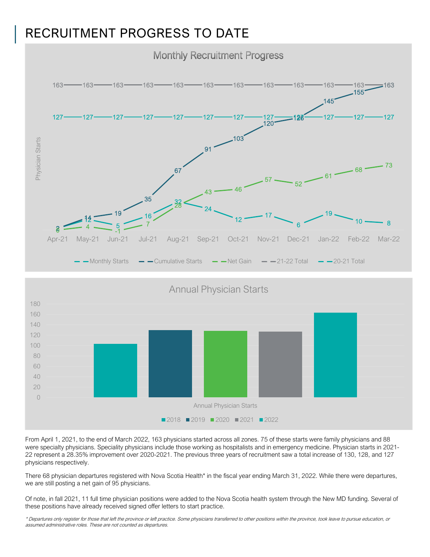### RECRUITMENT PROGRESS TO DATE



 Annual Physician Starts Annual Physician Starts ■2018 ■2019 ■2020 ■2021 ■2022

From April 1, 2021, to the end of March 2022, 163 physicians started across all zones. 75 of these starts were family physicians and 88 were specialty physicians. Speciality physicians include those working as hospitalists and in emergency medicine. Physician starts in 2021- 22 represent a 28.35% improvement over 2020-2021. The previous three years of recruitment saw a total increase of 130, 128, and 127 physicians respectively.

There 68 physician departures registered with Nova Scotia Health<sup>\*</sup> in the fiscal year ending March 31, 2022. While there were departures, we are still posting a net gain of 95 physicians.

Of note, in fall 2021, 11 full time physician positions were added to the Nova Scotia health system through the New MD funding. Several of these positions have already received signed offer letters to start practice.

\* Departures only register for those that left the province or left practice. Some physicians transferred to other positions within the province, took leave to pursue education, or assumed administrative roles. These are not counted as departures.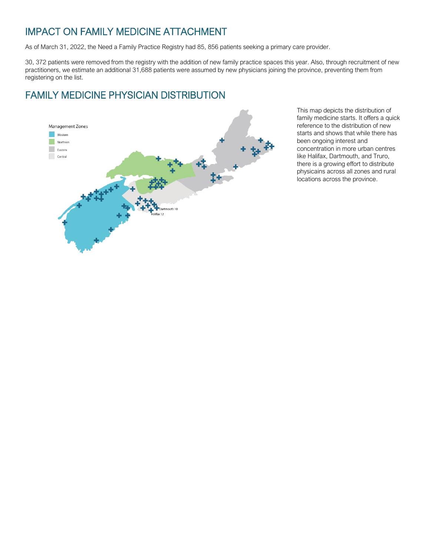#### IMPACT ON FAMILY MEDICINE ATTACHMENT

As of March 31, 2022, the Need a Family Practice Registry had 85, 856 patients seeking a primary care provider.

30, 372 patients were removed from the registry with the addition of new family practice spaces this year. Also, through recruitment of new practitioners, we estimate an additional 31,688 patients were assumed by new physicians joining the province, preventing them from registering on the list.

#### FAMILY MEDICINE PHYSICIAN DISTRIBUTION



This map depicts the distribution of family medicine starts. It offers a quick reference to the distribution of new starts and shows that while there has been ongoing interest and concentration in more urban centres like Halifax, Dartmouth, and Truro, there is a growing effort to distribute physicains across all zones and rural locations across the province.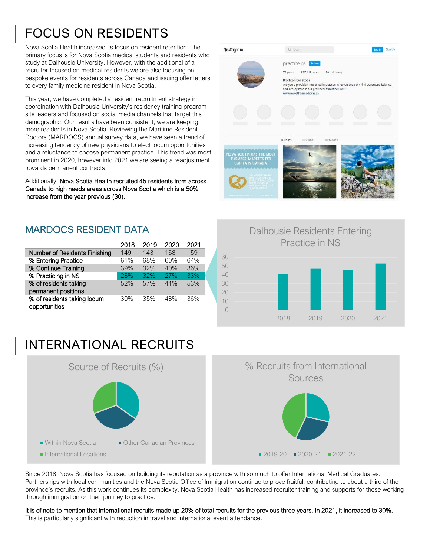# FOCUS ON RESIDENTS

Nova Scotia Health increased its focus on resident retention. The primary focus is for Nova Scotia medical students and residents who study at Dalhousie University. However, with the additional of a recruiter focused on medical residents we are also focusing on bespoke events for residents across Canada and issuing offer letters to every family medicine resident in Nova Scotia.

This year, we have completed a resident recruitment strategy in coordination with Dalhousie University's residency training program site leaders and focused on social media channels that target this demographic. Our results have been consistent, we are keeping more residents in Nova Scotia. Reviewing the Maritime Resident Doctors (MARDOCS) annual survey data, we have seen a trend of increasing tendency of new physicians to elect locum opportunities and a reluctance to choose permanent practice. This trend was most prominent in 2020, however into 2021 we are seeing a readjustment towards permanent contracts.

Additionally, Nova Scotia Health recruited 45 residents from across Canada to high needs areas across Nova Scotia which is a 50% increase from the year previous (30).

#### MARDOCS RESIDENT DATA

|                                              | 2018 | 2019 | 2020 | 2021 |  |
|----------------------------------------------|------|------|------|------|--|
| Number of Residents Finishing                | 149  | 143  | 168  | 159  |  |
| % Entering Practice                          | 61%  | 68%  | 60%  | 64%  |  |
| % Continue Training                          | 39%  | 32%  | 40%  | 36%  |  |
| % Practicing in NS                           | 28%  | 32%  | 27%  | 33%  |  |
| % of residents taking<br>permanent positions | 52%  | 57%  | 41%  | 53%  |  |
| % of residents taking locum<br>opportunities | 30%  | 35%  | 48%  | 36%  |  |

# INTERNATIONAL RECRUITS



#### Instagram  $Q$  . Sparrly,  $Q$  . The state  $Q$ **Log In Sign Up** practice.ns 70 posts 287 followers 28 following **Practice Nova Scotia** Are vou a physician interested in practice in Nova Scotia cA? Find adventure, balance are you've priyaction interested in<br>and beauty here in our province<br>www.morethanmedicine.ca practiceruralNS **B** POSTS @ VIDEO: (@ тл





Since 2018, Nova Scotia has focused on building its reputation as a province with so much to offer International Medical Graduates. Partnerships with local communities and the Nova Scotia Office of Immigration continue to prove fruitful, contributing to about a third of the province's recruits. As this work continues its complexity, Nova Scotia Health has increased recruiter training and supports for those working through immigration on their journey to practice.

It is of note to mention that international recruits made up 20% of total recruits for the previous three years. In 2021, it increased to 30%. This is particularly significant with reduction in travel and international event attendance.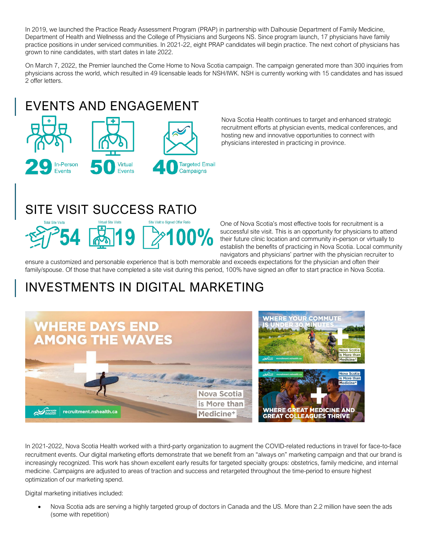In 2019, we launched the Practice Ready Assessment Program (PRAP) in partnership with Dalhousie Department of Family Medicine, Department of Health and Wellnesss and the College of Physicians and Surgeons NS. Since program launch, 17 physicians have family practice positions in under serviced communities. In 2021-22, eight PRAP candidates will begin practice. The next cohort of physicians has grown to nine candidates, with start dates in late 2022.

On March 7, 2022, the Premier launched the Come Home to Nova Scotia campaign. The campaign generated more than 300 inquiries from physicians across the world, which resulted in 49 licensable leads for NSH/IWK. NSH is currently working with 15 candidates and has issued 2 offer letters.

# EVENTS AND ENGAGEMENT



Nova Scotia Health continues to target and enhanced strategic recruitment efforts at physician events, medical conferences, and hosting new and innovative opportunities to connect with physicians interested in practicing in province.

# SITE VISIT SUCCESS RATIO



One of Nova Scotia's most effective tools for recruitment is a successful site visit. This is an opportunity for physicians to attend their future clinic location and community in-person or virtually to establish the benefits of practicing in Nova Scotia. Local community navigators and physicians' partner with the physician recruiter to

ensure a customized and personable experience that is both memorable and exceeds expectations for the physician and often their family/spouse. Of those that have completed a site visit during this period, 100% have signed an offer to start practice in Nova Scotia.

# INVESTMENTS IN DIGITAL MARKETING



In 2021-2022, Nova Scotia Health worked with a third-party organization to augment the COVID-related reductions in travel for face-to-face recruitment events. Our digital marketing efforts demonstrate that we benefit from an "always on" marketing campaign and that our brand is increasingly recognized. This work has shown excellent early results for targeted specialty groups: obstetrics, family medicine, and internal medicine. Campaigns are adjusted to areas of traction and success and retargeted throughout the time-period to ensure highest optimization of our marketing spend.

Digital marketing initiatives included:

• Nova Scotia ads are serving a highly targeted group of doctors in Canada and the US. More than 2.2 million have seen the ads (some with repetition)